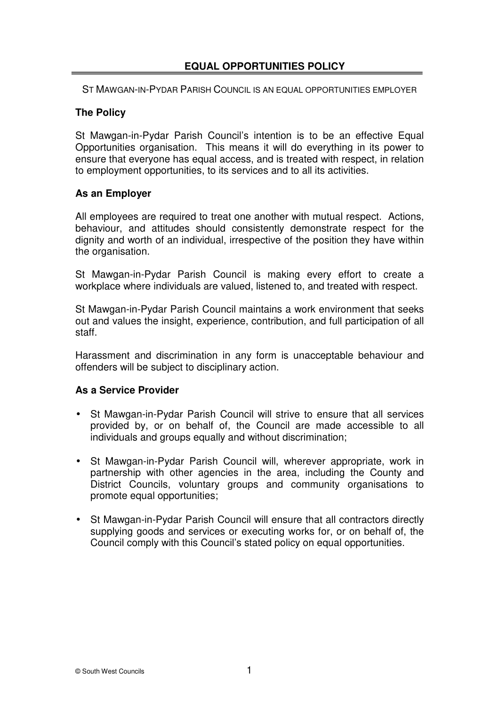# **EQUAL OPPORTUNITIES POLICY**

ST MAWGAN-IN-PYDAR PARISH COUNCIL IS AN EQUAL OPPORTUNITIES EMPLOYER

# **The Policy**

St Mawgan-in-Pydar Parish Council's intention is to be an effective Equal Opportunities organisation. This means it will do everything in its power to ensure that everyone has equal access, and is treated with respect, in relation to employment opportunities, to its services and to all its activities.

### **As an Employer**

All employees are required to treat one another with mutual respect. Actions, behaviour, and attitudes should consistently demonstrate respect for the dignity and worth of an individual, irrespective of the position they have within the organisation.

St Mawgan-in-Pydar Parish Council is making every effort to create a workplace where individuals are valued, listened to, and treated with respect.

St Mawgan-in-Pydar Parish Council maintains a work environment that seeks out and values the insight, experience, contribution, and full participation of all staff.

Harassment and discrimination in any form is unacceptable behaviour and offenders will be subject to disciplinary action.

### **As a Service Provider**

- St Mawgan-in-Pydar Parish Council will strive to ensure that all services provided by, or on behalf of, the Council are made accessible to all individuals and groups equally and without discrimination;
- St Mawgan-in-Pydar Parish Council will, wherever appropriate, work in partnership with other agencies in the area, including the County and District Councils, voluntary groups and community organisations to promote equal opportunities;
- St Mawgan-in-Pydar Parish Council will ensure that all contractors directly supplying goods and services or executing works for, or on behalf of, the Council comply with this Council's stated policy on equal opportunities.